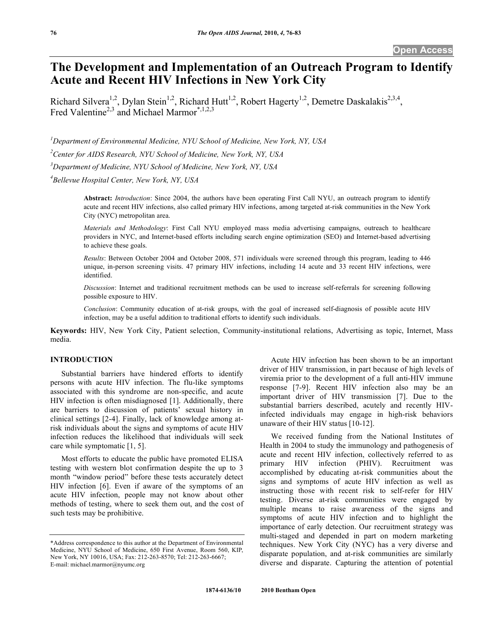# **The Development and Implementation of an Outreach Program to Identify Acute and Recent HIV Infections in New York City**

Richard Silvera<sup>1,2</sup>, Dylan Stein<sup>1,2</sup>, Richard Hutt<sup>1,2</sup>, Robert Hagerty<sup>1,2</sup>, Demetre Daskalakis<sup>2,3,4</sup>, Fred Valentine<sup>2,3</sup> and Michael Marmor<sup>\*,1,2,3</sup>

*1 Department of Environmental Medicine, NYU School of Medicine, New York, NY, USA* 

*2 Center for AIDS Research, NYU School of Medicine, New York, NY, USA* 

*3 Department of Medicine, NYU School of Medicine, New York, NY, USA* 

*4 Bellevue Hospital Center, New York, NY, USA* 

**Abstract:** *Introduction*: Since 2004, the authors have been operating First Call NYU, an outreach program to identify acute and recent HIV infections, also called primary HIV infections, among targeted at-risk communities in the New York City (NYC) metropolitan area.

*Materials and Methodology*: First Call NYU employed mass media advertising campaigns, outreach to healthcare providers in NYC, and Internet-based efforts including search engine optimization (SEO) and Internet-based advertising to achieve these goals.

*Results*: Between October 2004 and October 2008, 571 individuals were screened through this program, leading to 446 unique, in-person screening visits. 47 primary HIV infections, including 14 acute and 33 recent HIV infections, were identified.

*Discussion*: Internet and traditional recruitment methods can be used to increase self-referrals for screening following possible exposure to HIV.

*Conclusion*: Community education of at-risk groups, with the goal of increased self-diagnosis of possible acute HIV infection, may be a useful addition to traditional efforts to identify such individuals.

**Keywords:** HIV, New York City, Patient selection, Community-institutional relations, Advertising as topic, Internet, Mass media.

## **INTRODUCTION**

 Substantial barriers have hindered efforts to identify persons with acute HIV infection. The flu-like symptoms associated with this syndrome are non-specific, and acute HIV infection is often misdiagnosed [1]. Additionally, there are barriers to discussion of patients' sexual history in clinical settings [2-4]. Finally, lack of knowledge among atrisk individuals about the signs and symptoms of acute HIV infection reduces the likelihood that individuals will seek care while symptomatic [1, 5].

 Most efforts to educate the public have promoted ELISA testing with western blot confirmation despite the up to 3 month "window period" before these tests accurately detect HIV infection [6]. Even if aware of the symptoms of an acute HIV infection, people may not know about other methods of testing, where to seek them out, and the cost of such tests may be prohibitive.

 Acute HIV infection has been shown to be an important driver of HIV transmission, in part because of high levels of viremia prior to the development of a full anti-HIV immune response [7-9]. Recent HIV infection also may be an important driver of HIV transmission [7]. Due to the substantial barriers described, acutely and recently HIVinfected individuals may engage in high-risk behaviors unaware of their HIV status [10-12].

 We received funding from the National Institutes of Health in 2004 to study the immunology and pathogenesis of acute and recent HIV infection, collectively referred to as primary HIV infection (PHIV). Recruitment was accomplished by educating at-risk communities about the signs and symptoms of acute HIV infection as well as instructing those with recent risk to self-refer for HIV testing. Diverse at-risk communities were engaged by multiple means to raise awareness of the signs and symptoms of acute HIV infection and to highlight the importance of early detection. Our recruitment strategy was multi-staged and depended in part on modern marketing techniques. New York City (NYC) has a very diverse and disparate population, and at-risk communities are similarly diverse and disparate. Capturing the attention of potential

<sup>\*</sup>Address correspondence to this author at the Department of Environmental Medicine, NYU School of Medicine, 650 First Avenue, Room 560, KIP, New York, NY 10016, USA; Fax: 212-263-8570; Tel: 212-263-6667; E-mail: michael.marmor@nyumc.org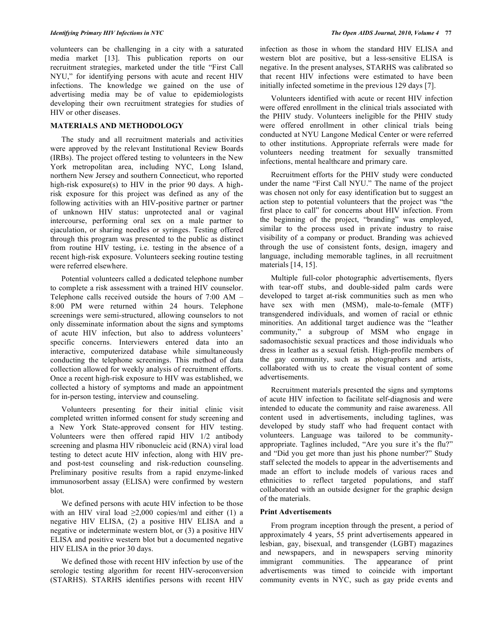volunteers can be challenging in a city with a saturated media market [13]. This publication reports on our recruitment strategies, marketed under the title "First Call NYU," for identifying persons with acute and recent HIV infections. The knowledge we gained on the use of advertising media may be of value to epidemiologists developing their own recruitment strategies for studies of HIV or other diseases.

# **MATERIALS AND METHODOLOGY**

 The study and all recruitment materials and activities were approved by the relevant Institutional Review Boards (IRBs). The project offered testing to volunteers in the New York metropolitan area, including NYC, Long Island, northern New Jersey and southern Connecticut, who reported high-risk exposure(s) to HIV in the prior 90 days. A highrisk exposure for this project was defined as any of the following activities with an HIV-positive partner or partner of unknown HIV status: unprotected anal or vaginal intercourse, performing oral sex on a male partner to ejaculation, or sharing needles or syringes. Testing offered through this program was presented to the public as distinct from routine HIV testing, i.e. testing in the absence of a recent high-risk exposure. Volunteers seeking routine testing were referred elsewhere.

 Potential volunteers called a dedicated telephone number to complete a risk assessment with a trained HIV counselor. Telephone calls received outside the hours of 7:00 AM – 8:00 PM were returned within 24 hours. Telephone screenings were semi-structured, allowing counselors to not only disseminate information about the signs and symptoms of acute HIV infection, but also to address volunteers' specific concerns. Interviewers entered data into an interactive, computerized database while simultaneously conducting the telephone screenings. This method of data collection allowed for weekly analysis of recruitment efforts. Once a recent high-risk exposure to HIV was established, we collected a history of symptoms and made an appointment for in-person testing, interview and counseling.

 Volunteers presenting for their initial clinic visit completed written informed consent for study screening and a New York State-approved consent for HIV testing. Volunteers were then offered rapid HIV 1/2 antibody screening and plasma HIV ribonucleic acid (RNA) viral load testing to detect acute HIV infection, along with HIV preand post-test counseling and risk-reduction counseling. Preliminary positive results from a rapid enzyme-linked immunosorbent assay (ELISA) were confirmed by western blot.

 We defined persons with acute HIV infection to be those with an HIV viral load  $\geq 2,000$  copies/ml and either (1) a negative HIV ELISA, (2) a positive HIV ELISA and a negative or indeterminate western blot, or (3) a positive HIV ELISA and positive western blot but a documented negative HIV ELISA in the prior 30 days.

 We defined those with recent HIV infection by use of the serologic testing algorithm for recent HIV-seroconversion (STARHS). STARHS identifies persons with recent HIV

infection as those in whom the standard HIV ELISA and western blot are positive, but a less-sensitive ELISA is negative. In the present analyses, STARHS was calibrated so that recent HIV infections were estimated to have been initially infected sometime in the previous 129 days [7].

 Volunteers identified with acute or recent HIV infection were offered enrollment in the clinical trials associated with the PHIV study. Volunteers ineligible for the PHIV study were offered enrollment in other clinical trials being conducted at NYU Langone Medical Center or were referred to other institutions. Appropriate referrals were made for volunteers needing treatment for sexually transmitted infections, mental healthcare and primary care.

 Recruitment efforts for the PHIV study were conducted under the name "First Call NYU." The name of the project was chosen not only for easy identification but to suggest an action step to potential volunteers that the project was "the first place to call" for concerns about HIV infection. From the beginning of the project, "branding" was employed, similar to the process used in private industry to raise visibility of a company or product. Branding was achieved through the use of consistent fonts, design, imagery and language, including memorable taglines, in all recruitment materials [14, 15].

 Multiple full-color photographic advertisements, flyers with tear-off stubs, and double-sided palm cards were developed to target at-risk communities such as men who have sex with men (MSM), male-to-female (MTF) transgendered individuals, and women of racial or ethnic minorities. An additional target audience was the "leather community," a subgroup of MSM who engage in sadomasochistic sexual practices and those individuals who dress in leather as a sexual fetish. High-profile members of the gay community, such as photographers and artists, collaborated with us to create the visual content of some advertisements.

 Recruitment materials presented the signs and symptoms of acute HIV infection to facilitate self-diagnosis and were intended to educate the community and raise awareness. All content used in advertisements, including taglines, was developed by study staff who had frequent contact with volunteers. Language was tailored to be communityappropriate. Taglines included, "Are you sure it's the flu?" and "Did you get more than just his phone number?" Study staff selected the models to appear in the advertisements and made an effort to include models of various races and ethnicities to reflect targeted populations, and staff collaborated with an outside designer for the graphic design of the materials.

#### **Print Advertisements**

 From program inception through the present, a period of approximately 4 years, 55 print advertisements appeared in lesbian, gay, bisexual, and transgender (LGBT) magazines and newspapers, and in newspapers serving minority immigrant communities. The appearance of print advertisements was timed to coincide with important community events in NYC, such as gay pride events and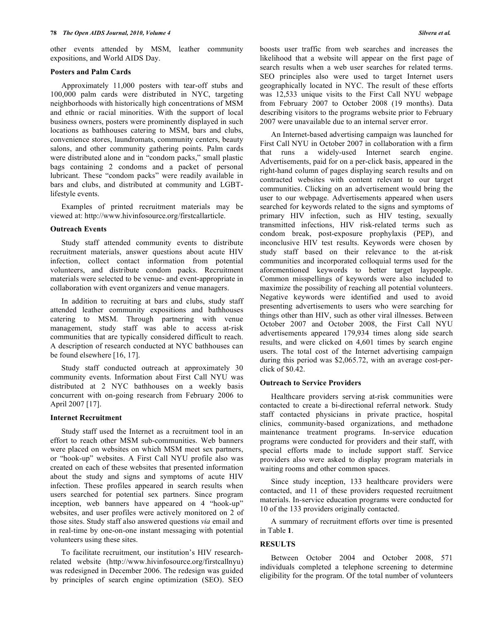other events attended by MSM, leather community expositions, and World AIDS Day.

#### **Posters and Palm Cards**

 Approximately 11,000 posters with tear-off stubs and 100,000 palm cards were distributed in NYC, targeting neighborhoods with historically high concentrations of MSM and ethnic or racial minorities. With the support of local business owners, posters were prominently displayed in such locations as bathhouses catering to MSM, bars and clubs, convenience stores, laundromats, community centers, beauty salons, and other community gathering points. Palm cards were distributed alone and in "condom packs," small plastic bags containing 2 condoms and a packet of personal lubricant. These "condom packs" were readily available in bars and clubs, and distributed at community and LGBTlifestyle events.

 Examples of printed recruitment materials may be viewed at: http://www.hivinfosource.org/firstcallarticle.

## **Outreach Events**

 Study staff attended community events to distribute recruitment materials, answer questions about acute HIV infection, collect contact information from potential volunteers, and distribute condom packs. Recruitment materials were selected to be venue- and event-appropriate in collaboration with event organizers and venue managers.

 In addition to recruiting at bars and clubs, study staff attended leather community expositions and bathhouses catering to MSM. Through partnering with venue management, study staff was able to access at-risk communities that are typically considered difficult to reach. A description of research conducted at NYC bathhouses can be found elsewhere [16, 17].

 Study staff conducted outreach at approximately 30 community events. Information about First Call NYU was distributed at 2 NYC bathhouses on a weekly basis concurrent with on-going research from February 2006 to April 2007 [17].

#### **Internet Recruitment**

 Study staff used the Internet as a recruitment tool in an effort to reach other MSM sub-communities. Web banners were placed on websites on which MSM meet sex partners, or "hook-up" websites. A First Call NYU profile also was created on each of these websites that presented information about the study and signs and symptoms of acute HIV infection. These profiles appeared in search results when users searched for potential sex partners. Since program inception, web banners have appeared on 4 "hook-up" websites, and user profiles were actively monitored on 2 of those sites. Study staff also answered questions *via* email and in real-time by one-on-one instant messaging with potential volunteers using these sites.

 To facilitate recruitment, our institution's HIV researchrelated website (http://www.hivinfosource.org/firstcallnyu) was redesigned in December 2006. The redesign was guided by principles of search engine optimization (SEO). SEO boosts user traffic from web searches and increases the likelihood that a website will appear on the first page of search results when a web user searches for related terms. SEO principles also were used to target Internet users geographically located in NYC. The result of these efforts was 12,533 unique visits to the First Call NYU webpage from February 2007 to October 2008 (19 months). Data describing visitors to the programs website prior to February 2007 were unavailable due to an internal server error.

 An Internet-based advertising campaign was launched for First Call NYU in October 2007 in collaboration with a firm that runs a widely-used Internet search engine. Advertisements, paid for on a per-click basis, appeared in the right-hand column of pages displaying search results and on contracted websites with content relevant to our target communities. Clicking on an advertisement would bring the user to our webpage. Advertisements appeared when users searched for keywords related to the signs and symptoms of primary HIV infection, such as HIV testing, sexually transmitted infections, HIV risk-related terms such as condom break, post-exposure prophylaxis (PEP), and inconclusive HIV test results. Keywords were chosen by study staff based on their relevance to the at-risk communities and incorporated colloquial terms used for the aforementioned keywords to better target laypeople. Common misspellings of keywords were also included to maximize the possibility of reaching all potential volunteers. Negative keywords were identified and used to avoid presenting advertisements to users who were searching for things other than HIV, such as other viral illnesses. Between October 2007 and October 2008, the First Call NYU advertisements appeared 179,934 times along side search results, and were clicked on 4,601 times by search engine users. The total cost of the Internet advertising campaign during this period was \$2,065.72, with an average cost-perclick of \$0.42.

## **Outreach to Service Providers**

 Healthcare providers serving at-risk communities were contacted to create a bi-directional referral network. Study staff contacted physicians in private practice, hospital clinics, community-based organizations, and methadone maintenance treatment programs. In-service education programs were conducted for providers and their staff, with special efforts made to include support staff. Service providers also were asked to display program materials in waiting rooms and other common spaces.

 Since study inception, 133 healthcare providers were contacted, and 11 of these providers requested recruitment materials. In-service education programs were conducted for 10 of the 133 providers originally contacted.

 A summary of recruitment efforts over time is presented in Table **1**.

# **RESULTS**

 Between October 2004 and October 2008, 571 individuals completed a telephone screening to determine eligibility for the program. Of the total number of volunteers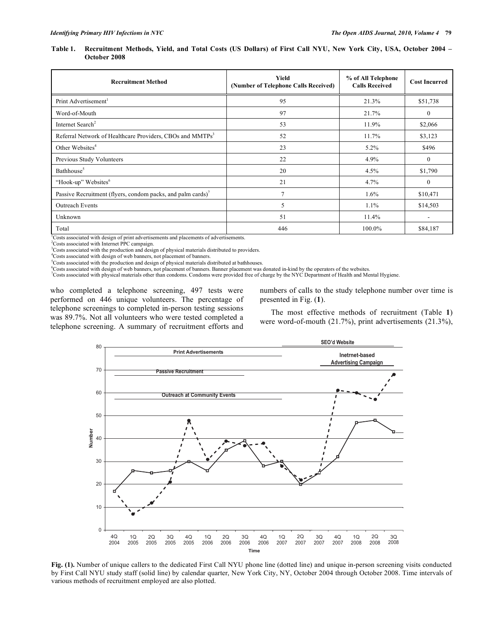**Table 1. Recruitment Methods, Yield, and Total Costs (US Dollars) of First Call NYU, New York City, USA, October 2004 – October 2008** 

| <b>Recruitment Method</b>                                             | Yield<br>% of All Telephone<br>(Number of Telephone Calls Received)<br><b>Calls Received</b> |        | <b>Cost Incurred</b> |
|-----------------------------------------------------------------------|----------------------------------------------------------------------------------------------|--------|----------------------|
| Print Advertisement <sup>1</sup>                                      | 95                                                                                           | 21.3%  | \$51,738             |
| Word-of-Mouth                                                         | 97<br>21.7%                                                                                  |        | $\mathbf{0}$         |
| Internet Search <sup>2</sup>                                          | 53                                                                                           | 11.9%  | \$2,066              |
| Referral Network of Healthcare Providers, CBOs and MMTPs <sup>3</sup> | 52                                                                                           | 11.7%  | \$3,123              |
| Other Websites <sup>4</sup>                                           | 23                                                                                           | 5.2%   | \$496                |
| Previous Study Volunteers                                             | 22                                                                                           | 4.9%   | $\mathbf{0}$         |
| Bathhouse <sup>5</sup>                                                | 20                                                                                           | 4.5%   | \$1,790              |
| "Hook-up" Websites <sup>6</sup>                                       | 21                                                                                           | 4.7%   | $\mathbf{0}$         |
| Passive Recruitment (flyers, condom packs, and palm cards)'           | 7                                                                                            | 1.6%   | \$10,471             |
| <b>Outreach Events</b>                                                | 5                                                                                            | 1.1%   | \$14,503             |
| Unknown                                                               | 51                                                                                           | 11.4%  | ٠                    |
| Total                                                                 | 446                                                                                          | 100.0% | \$84,187             |

<sup>1</sup>Costs associated with design of print advertisements and placements of advertisements.

2 Costs associated with Internet PPC campaign.

<sup>3</sup>Costs associated with the production and design of physical materials distributed to providers.

4 Costs associated with design of web banners, not placement of banners.

<sup>5</sup>Costs associated with the production and design of physical materials distributed at bathhouses.

Costs associated with design of web banners, not placement of banners. Banner placement was donated in-kind by the operators of the websites.<br>Conta associated with physical materials other than condamn Condamn was maxidad

Costs associated with physical materials other than condoms. Condoms were provided free of charge by the NYC Department of Health and Mental Hygiene.

who completed a telephone screening, 497 tests were performed on 446 unique volunteers. The percentage of telephone screenings to completed in-person testing sessions was 89.7%. Not all volunteers who were tested completed a telephone screening. A summary of recruitment efforts and

numbers of calls to the study telephone number over time is presented in Fig. (**1**).

 The most effective methods of recruitment (Table **1**) were word-of-mouth (21.7%), print advertisements (21.3%),



**Fig. (1).** Number of unique callers to the dedicated First Call NYU phone line (dotted line) and unique in-person screening visits conducted by First Call NYU study staff (solid line) by calendar quarter, New York City, NY, October 2004 through October 2008. Time intervals of various methods of recruitment employed are also plotted.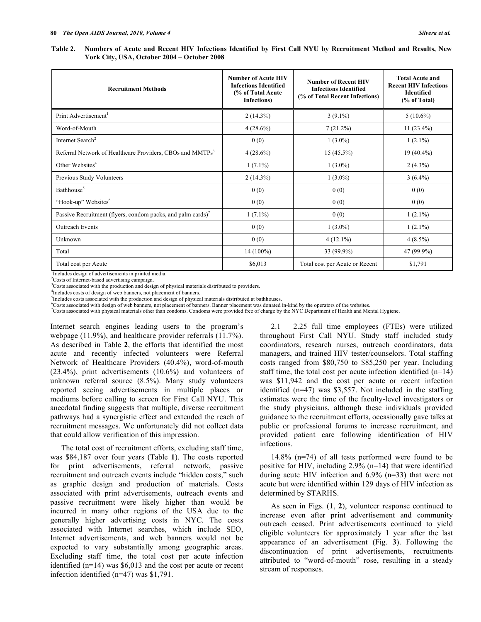**York City, USA, October 2004 – October 2008** 

| <b>Recruitment Methods</b>                                            | <b>Number of Acute HIV</b><br><b>Infections Identified</b><br>(% of Total Acute)<br>Infections) | <b>Number of Recent HIV</b><br><b>Infections Identified</b><br>(% of Total Recent Infections) | <b>Total Acute and</b><br><b>Recent HIV Infections</b><br><b>Identified</b><br>(% of Total) |
|-----------------------------------------------------------------------|-------------------------------------------------------------------------------------------------|-----------------------------------------------------------------------------------------------|---------------------------------------------------------------------------------------------|
| Print Advertisement <sup>1</sup>                                      | $2(14.3\%)$                                                                                     | $3(9.1\%)$                                                                                    | $5(10.6\%)$                                                                                 |
| Word-of-Mouth                                                         | $4(28.6\%)$                                                                                     | 7(21.2%)                                                                                      | $11(23.4\%)$                                                                                |
| Internet Search <sup>2</sup>                                          | 0(0)                                                                                            | $1(3.0\%)$                                                                                    | $1(2.1\%)$                                                                                  |
| Referral Network of Healthcare Providers, CBOs and MMTPs <sup>3</sup> | $4(28.6\%)$                                                                                     | $15(45.5\%)$                                                                                  | $19(40.4\%)$                                                                                |
| Other Websites <sup>4</sup>                                           | $1(7.1\%)$                                                                                      | $1(3.0\%)$                                                                                    | $2(4.3\%)$                                                                                  |
| Previous Study Volunteers                                             | $2(14.3\%)$                                                                                     | $1(3.0\%)$                                                                                    | $3(6.4\%)$                                                                                  |
| Bathhouse <sup>5</sup>                                                | 0(0)                                                                                            | 0(0)                                                                                          | 0(0)                                                                                        |
| "Hook-up" Websites <sup>6</sup>                                       | 0(0)                                                                                            | 0(0)                                                                                          | 0(0)                                                                                        |
| Passive Recruitment (flyers, condom packs, and palm cards)'           | $1(7.1\%)$                                                                                      | 0(0)                                                                                          | $1(2.1\%)$                                                                                  |
| Outreach Events                                                       | 0(0)                                                                                            | $1(3.0\%)$                                                                                    | $1(2.1\%)$                                                                                  |
| Unknown                                                               | 0(0)                                                                                            | $4(12.1\%)$                                                                                   | $4(8.5\%)$                                                                                  |
| Total                                                                 | $14(100\%)$                                                                                     | 33 (99.9%)                                                                                    | 47 (99.9%)                                                                                  |
| Total cost per Acute                                                  | \$6,013                                                                                         | Total cost per Acute or Recent                                                                | \$1,791                                                                                     |

<sup>1</sup>Includes design of advertisements in printed media.

2 Costs of Internet-based advertising campaign. <sup>3</sup>Costs associated with the production and design of physical materials distributed to providers.

4 Includes costs of design of web banners, not placement of banners.

<sup>5</sup>Includes costs associated with the production and design of physical materials distributed at bathhouses.

<sup>6</sup>Costs associated with design of web banners, not placement of banners. Banner placement was donated in-kind by the operators of the websites.<br><sup>7</sup>Costs associated with physical materials other than condoms. Condoms were

Internet search engines leading users to the program's webpage (11.9%), and healthcare provider referrals (11.7%). As described in Table **2**, the efforts that identified the most acute and recently infected volunteers were Referral Network of Healthcare Providers (40.4%), word-of-mouth (23.4%), print advertisements (10.6%) and volunteers of unknown referral source (8.5%). Many study volunteers reported seeing advertisements in multiple places or mediums before calling to screen for First Call NYU. This anecdotal finding suggests that multiple, diverse recruitment pathways had a synergistic effect and extended the reach of recruitment messages. We unfortunately did not collect data that could allow verification of this impression.

 The total cost of recruitment efforts, excluding staff time, was \$84,187 over four years (Table **1**). The costs reported for print advertisements, referral network, passive recruitment and outreach events include "hidden costs," such as graphic design and production of materials. Costs associated with print advertisements, outreach events and passive recruitment were likely higher than would be incurred in many other regions of the USA due to the generally higher advertising costs in NYC. The costs associated with Internet searches, which include SEO, Internet advertisements, and web banners would not be expected to vary substantially among geographic areas. Excluding staff time, the total cost per acute infection identified (n=14) was \$6,013 and the cost per acute or recent infection identified (n=47) was \$1,791.

 2.1 – 2.25 full time employees (FTEs) were utilized throughout First Call NYU. Study staff included study coordinators, research nurses, outreach coordinators, data managers, and trained HIV tester/counselors. Total staffing costs ranged from \$80,750 to \$85,250 per year. Including staff time, the total cost per acute infection identified (n=14) was \$11,942 and the cost per acute or recent infection identified (n=47) was \$3,557. Not included in the staffing estimates were the time of the faculty-level investigators or the study physicians, although these individuals provided guidance to the recruitment efforts, occasionally gave talks at public or professional forums to increase recruitment, and provided patient care following identification of HIV infections.

 14.8% (n=74) of all tests performed were found to be positive for HIV, including 2.9% (n=14) that were identified during acute HIV infection and 6.9% (n=33) that were not acute but were identified within 129 days of HIV infection as determined by STARHS.

 As seen in Figs. (**1**, **2**), volunteer response continued to increase even after print advertisement and community outreach ceased. Print advertisements continued to yield eligible volunteers for approximately 1 year after the last appearance of an advertisement (Fig. **3**). Following the discontinuation of print advertisements, recruitments attributed to "word-of-mouth" rose, resulting in a steady stream of responses.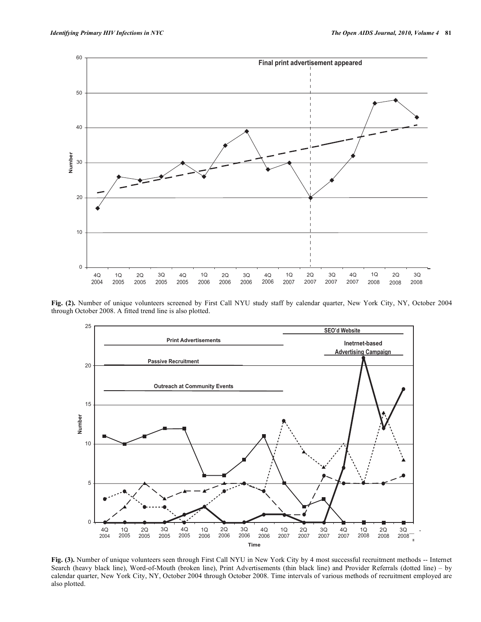

**Fig. (2).** Number of unique volunteers screened by First Call NYU study staff by calendar quarter, New York City, NY, October 2004 through October 2008. A fitted trend line is also plotted.



**Fig. (3).** Number of unique volunteers seen through First Call NYU in New York City by 4 most successful recruitment methods -- Internet Search (heavy black line), Word-of-Mouth (broken line), Print Advertisements (thin black line) and Provider Referrals (dotted line) – by calendar quarter, New York City, NY, October 2004 through October 2008. Time intervals of various methods of recruitment employed are also plotted.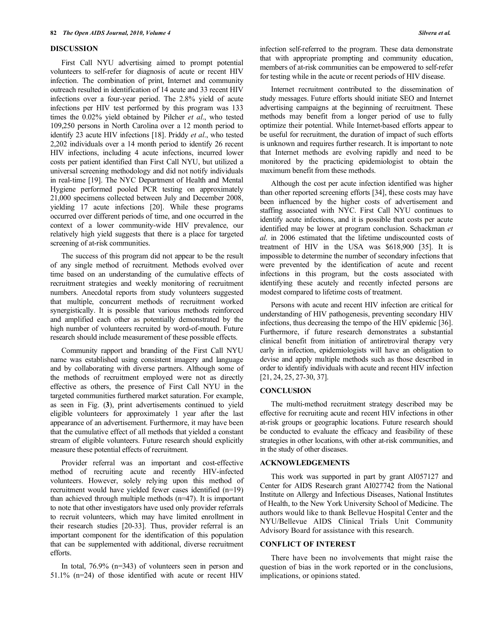## **DISCUSSION**

 First Call NYU advertising aimed to prompt potential volunteers to self-refer for diagnosis of acute or recent HIV infection. The combination of print, Internet and community outreach resulted in identification of 14 acute and 33 recent HIV infections over a four-year period. The 2.8% yield of acute infections per HIV test performed by this program was 133 times the 0.02% yield obtained by Pilcher *et al*., who tested 109,250 persons in North Carolina over a 12 month period to identify 23 acute HIV infections [18]. Priddy *et al*., who tested 2,202 individuals over a 14 month period to identify 26 recent HIV infections, including 4 acute infections, incurred lower costs per patient identified than First Call NYU, but utilized a universal screening methodology and did not notify individuals in real-time [19]. The NYC Department of Health and Mental Hygiene performed pooled PCR testing on approximately 21,000 specimens collected between July and December 2008, yielding 17 acute infections [20]. While these programs occurred over different periods of time, and one occurred in the context of a lower community-wide HIV prevalence, our relatively high yield suggests that there is a place for targeted screening of at-risk communities.

 The success of this program did not appear to be the result of any single method of recruitment. Methods evolved over time based on an understanding of the cumulative effects of recruitment strategies and weekly monitoring of recruitment numbers. Anecdotal reports from study volunteers suggested that multiple, concurrent methods of recruitment worked synergistically. It is possible that various methods reinforced and amplified each other as potentially demonstrated by the high number of volunteers recruited by word-of-mouth. Future research should include measurement of these possible effects.

 Community rapport and branding of the First Call NYU name was established using consistent imagery and language and by collaborating with diverse partners. Although some of the methods of recruitment employed were not as directly effective as others, the presence of First Call NYU in the targeted communities furthered market saturation. For example, as seen in Fig. (**3**), print advertisements continued to yield eligible volunteers for approximately 1 year after the last appearance of an advertisement. Furthermore, it may have been that the cumulative effect of all methods that yielded a constant stream of eligible volunteers. Future research should explicitly measure these potential effects of recruitment.

 Provider referral was an important and cost-effective method of recruiting acute and recently HIV-infected volunteers. However, solely relying upon this method of recruitment would have yielded fewer cases identified (n=19) than achieved through multiple methods (n=47). It is important to note that other investigators have used only provider referrals to recruit volunteers, which may have limited enrollment in their research studies [20-33]. Thus, provider referral is an important component for the identification of this population that can be supplemented with additional, diverse recruitment efforts.

 In total, 76.9% (n=343) of volunteers seen in person and 51.1% (n=24) of those identified with acute or recent HIV infection self-referred to the program. These data demonstrate that with appropriate prompting and community education, members of at-risk communities can be empowered to self-refer for testing while in the acute or recent periods of HIV disease.

 Internet recruitment contributed to the dissemination of study messages. Future efforts should initiate SEO and Internet advertising campaigns at the beginning of recruitment. These methods may benefit from a longer period of use to fully optimize their potential. While Internet-based efforts appear to be useful for recruitment, the duration of impact of such efforts is unknown and requires further research. It is important to note that Internet methods are evolving rapidly and need to be monitored by the practicing epidemiologist to obtain the maximum benefit from these methods.

 Although the cost per acute infection identified was higher than other reported screening efforts [34], these costs may have been influenced by the higher costs of advertisement and staffing associated with NYC. First Call NYU continues to identify acute infections, and it is possible that costs per acute identified may be lower at program conclusion. Schackman *et al*. in 2006 estimated that the lifetime undiscounted costs of treatment of HIV in the USA was \$618,900 [35]. It is impossible to determine the number of secondary infections that were prevented by the identification of acute and recent infections in this program, but the costs associated with identifying these acutely and recently infected persons are modest compared to lifetime costs of treatment.

 Persons with acute and recent HIV infection are critical for understanding of HIV pathogenesis, preventing secondary HIV infections, thus decreasing the tempo of the HIV epidemic [36]. Furthermore, if future research demonstrates a substantial clinical benefit from initiation of antiretroviral therapy very early in infection, epidemiologists will have an obligation to devise and apply multiple methods such as those described in order to identify individuals with acute and recent HIV infection [21, 24, 25, 27-30, 37].

# **CONCLUSION**

 The multi-method recruitment strategy described may be effective for recruiting acute and recent HIV infections in other at-risk groups or geographic locations. Future research should be conducted to evaluate the efficacy and feasibility of these strategies in other locations, with other at-risk communities, and in the study of other diseases.

# **ACKNOWLEDGEMENTS**

 This work was supported in part by grant AI057127 and Center for AIDS Research grant AI027742 from the National Institute on Allergy and Infectious Diseases, National Institutes of Health, to the New York University School of Medicine. The authors would like to thank Bellevue Hospital Center and the NYU/Bellevue AIDS Clinical Trials Unit Community Advisory Board for assistance with this research.

# **CONFLICT OF INTEREST**

 There have been no involvements that might raise the question of bias in the work reported or in the conclusions, implications, or opinions stated.